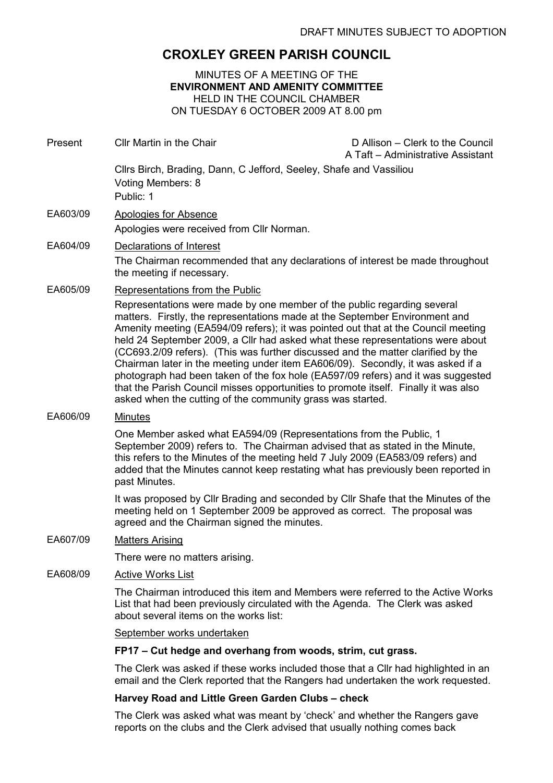# CROXLEY GREEN PARISH COUNCIL

MINUTES OF A MEETING OF THE ENVIRONMENT AND AMENITY COMMITTEE HELD IN THE COUNCIL CHAMBER ON TUESDAY 6 OCTOBER 2009 AT 8.00 pm

Present Cllr Martin in the Chair D Allison – Clerk to the Council A Taft – Administrative Assistant Cllrs Birch, Brading, Dann, C Jefford, Seeley, Shafe and Vassiliou Voting Members: 8 Public: 1 EA603/09 Apologies for Absence Apologies were received from Cllr Norman. EA604/09 Declarations of Interest The Chairman recommended that any declarations of interest be made throughout the meeting if necessary. EA605/09 Representations from the Public Representations were made by one member of the public regarding several matters. Firstly, the representations made at the September Environment and Amenity meeting (EA594/09 refers); it was pointed out that at the Council meeting held 24 September 2009, a Cllr had asked what these representations were about (CC693.2/09 refers). (This was further discussed and the matter clarified by the Chairman later in the meeting under item EA606/09). Secondly, it was asked if a photograph had been taken of the fox hole (EA597/09 refers) and it was suggested that the Parish Council misses opportunities to promote itself. Finally it was also asked when the cutting of the community grass was started. EA606/09 Minutes One Member asked what EA594/09 (Representations from the Public, 1 September 2009) refers to. The Chairman advised that as stated in the Minute, this refers to the Minutes of the meeting held 7 July 2009 (EA583/09 refers) and added that the Minutes cannot keep restating what has previously been reported in past Minutes. It was proposed by Cllr Brading and seconded by Cllr Shafe that the Minutes of the meeting held on 1 September 2009 be approved as correct. The proposal was agreed and the Chairman signed the minutes. EA607/09 Matters Arising There were no matters arising. EA608/09 Active Works List The Chairman introduced this item and Members were referred to the Active Works List that had been previously circulated with the Agenda. The Clerk was asked about several items on the works list: September works undertaken FP17 – Cut hedge and overhang from woods, strim, cut grass. The Clerk was asked if these works included those that a Cllr had highlighted in an email and the Clerk reported that the Rangers had undertaken the work requested.

### Harvey Road and Little Green Garden Clubs – check

The Clerk was asked what was meant by 'check' and whether the Rangers gave reports on the clubs and the Clerk advised that usually nothing comes back